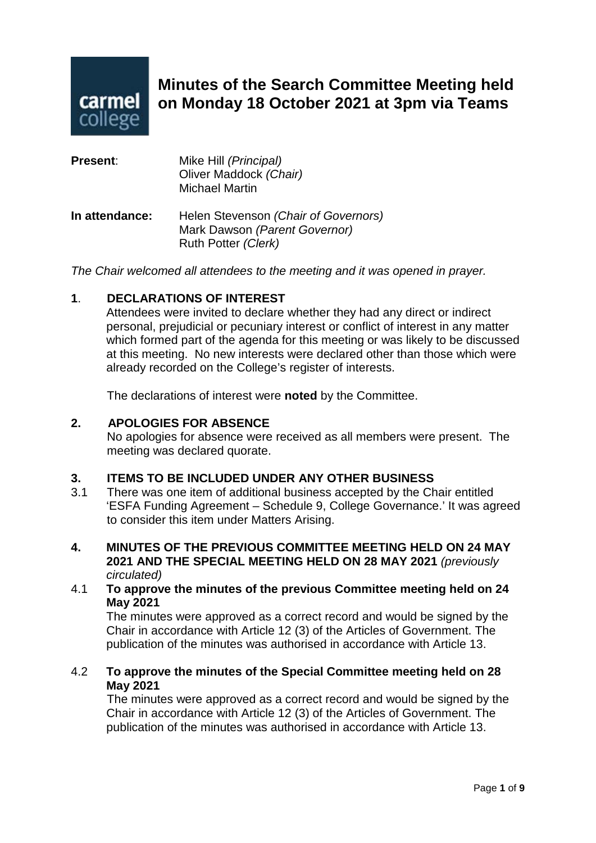

# **Minutes of the Search Committee Meeting held on Monday 18 October 2021 at 3pm via Teams**

| <b>Present:</b> | Mike Hill (Principal)<br>Oliver Maddock (Chair)<br><b>Michael Martin</b>                     |
|-----------------|----------------------------------------------------------------------------------------------|
| In attendance:  | Helen Stevenson (Chair of Governors)<br>Mark Dawson (Parent Governor)<br>Ruth Potter (Clerk) |

*The Chair welcomed all attendees to the meeting and it was opened in prayer.*

#### **1**. **DECLARATIONS OF INTEREST**

Attendees were invited to declare whether they had any direct or indirect personal, prejudicial or pecuniary interest or conflict of interest in any matter which formed part of the agenda for this meeting or was likely to be discussed at this meeting. No new interests were declared other than those which were already recorded on the College's register of interests.

The declarations of interest were **noted** by the Committee.

# **2. APOLOGIES FOR ABSENCE**

No apologies for absence were received as all members were present. The meeting was declared quorate.

# **3. ITEMS TO BE INCLUDED UNDER ANY OTHER BUSINESS**

- 3.1 There was one item of additional business accepted by the Chair entitled 'ESFA Funding Agreement – Schedule 9, College Governance.' It was agreed to consider this item under Matters Arising.
- **4. MINUTES OF THE PREVIOUS COMMITTEE MEETING HELD ON 24 MAY 2021 AND THE SPECIAL MEETING HELD ON 28 MAY 2021** *(previously circulated)*
- 4.1 **To approve the minutes of the previous Committee meeting held on 24 May 2021**

The minutes were approved as a correct record and would be signed by the Chair in accordance with Article 12 (3) of the Articles of Government. The publication of the minutes was authorised in accordance with Article 13.

#### 4.2 **To approve the minutes of the Special Committee meeting held on 28 May 2021**

The minutes were approved as a correct record and would be signed by the Chair in accordance with Article 12 (3) of the Articles of Government. The publication of the minutes was authorised in accordance with Article 13.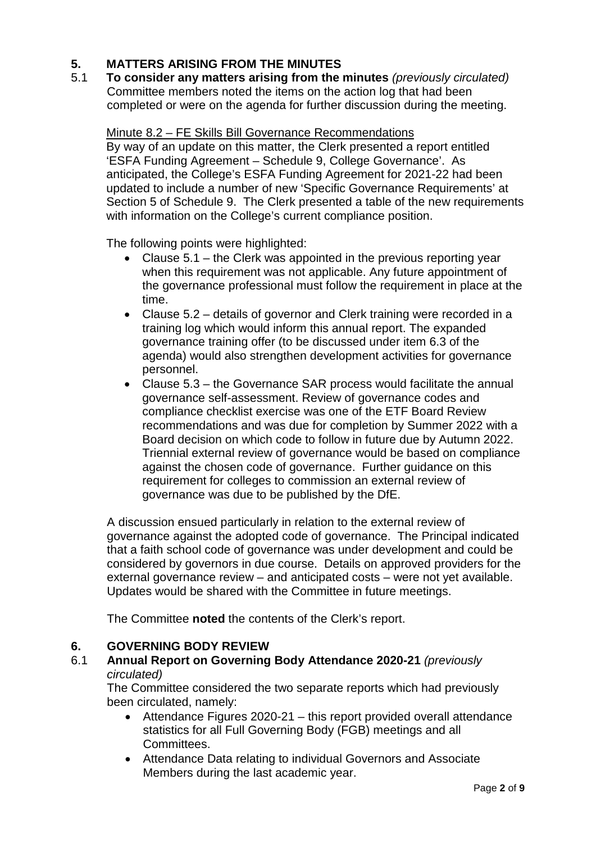# **5. MATTERS ARISING FROM THE MINUTES**

5.1 **To consider any matters arising from the minutes** *(previously circulated)* Committee members noted the items on the action log that had been completed or were on the agenda for further discussion during the meeting.

#### Minute 8.2 – FE Skills Bill Governance Recommendations

By way of an update on this matter, the Clerk presented a report entitled 'ESFA Funding Agreement – Schedule 9, College Governance'. As anticipated, the College's ESFA Funding Agreement for 2021-22 had been updated to include a number of new 'Specific Governance Requirements' at Section 5 of Schedule 9. The Clerk presented a table of the new requirements with information on the College's current compliance position.

The following points were highlighted:

- Clause 5.1 the Clerk was appointed in the previous reporting year when this requirement was not applicable. Any future appointment of the governance professional must follow the requirement in place at the time.
- Clause 5.2 details of governor and Clerk training were recorded in a training log which would inform this annual report. The expanded governance training offer (to be discussed under item 6.3 of the agenda) would also strengthen development activities for governance personnel.
- Clause 5.3 the Governance SAR process would facilitate the annual governance self-assessment. Review of governance codes and compliance checklist exercise was one of the ETF Board Review recommendations and was due for completion by Summer 2022 with a Board decision on which code to follow in future due by Autumn 2022. Triennial external review of governance would be based on compliance against the chosen code of governance. Further guidance on this requirement for colleges to commission an external review of governance was due to be published by the DfE.

A discussion ensued particularly in relation to the external review of governance against the adopted code of governance. The Principal indicated that a faith school code of governance was under development and could be considered by governors in due course. Details on approved providers for the external governance review – and anticipated costs – were not yet available. Updates would be shared with the Committee in future meetings.

The Committee **noted** the contents of the Clerk's report.

# **6. GOVERNING BODY REVIEW**

#### 6.1 **Annual Report on Governing Body Attendance 2020-21** *(previously circulated)*

The Committee considered the two separate reports which had previously been circulated, namely:

- Attendance Figures 2020-21 this report provided overall attendance statistics for all Full Governing Body (FGB) meetings and all Committees.
- Attendance Data relating to individual Governors and Associate Members during the last academic year.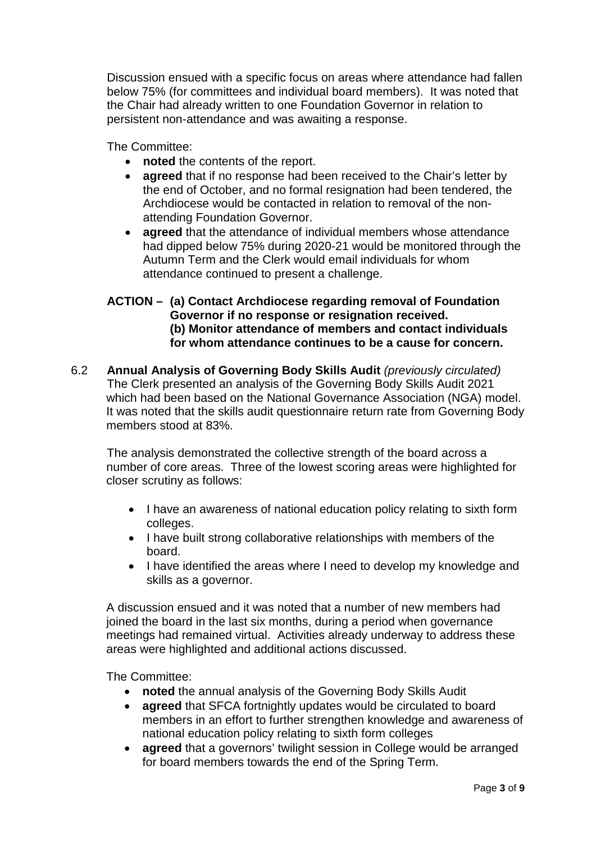Discussion ensued with a specific focus on areas where attendance had fallen below 75% (for committees and individual board members). It was noted that the Chair had already written to one Foundation Governor in relation to persistent non-attendance and was awaiting a response.

The Committee:

- **noted** the contents of the report.
- **agreed** that if no response had been received to the Chair's letter by the end of October, and no formal resignation had been tendered, the Archdiocese would be contacted in relation to removal of the nonattending Foundation Governor.
- **agreed** that the attendance of individual members whose attendance had dipped below 75% during 2020-21 would be monitored through the Autumn Term and the Clerk would email individuals for whom attendance continued to present a challenge.

# **ACTION – (a) Contact Archdiocese regarding removal of Foundation Governor if no response or resignation received. (b) Monitor attendance of members and contact individuals for whom attendance continues to be a cause for concern.**

6.2 **Annual Analysis of Governing Body Skills Audit** *(previously circulated)* The Clerk presented an analysis of the Governing Body Skills Audit 2021 which had been based on the National Governance Association (NGA) model. It was noted that the skills audit questionnaire return rate from Governing Body members stood at 83%.

The analysis demonstrated the collective strength of the board across a number of core areas. Three of the lowest scoring areas were highlighted for closer scrutiny as follows:

- I have an awareness of national education policy relating to sixth form colleges.
- I have built strong collaborative relationships with members of the board.
- I have identified the areas where I need to develop my knowledge and skills as a governor.

A discussion ensued and it was noted that a number of new members had joined the board in the last six months, during a period when governance meetings had remained virtual. Activities already underway to address these areas were highlighted and additional actions discussed.

The Committee:

- **noted** the annual analysis of the Governing Body Skills Audit
- **agreed** that SFCA fortnightly updates would be circulated to board members in an effort to further strengthen knowledge and awareness of national education policy relating to sixth form colleges
- **agreed** that a governors' twilight session in College would be arranged for board members towards the end of the Spring Term.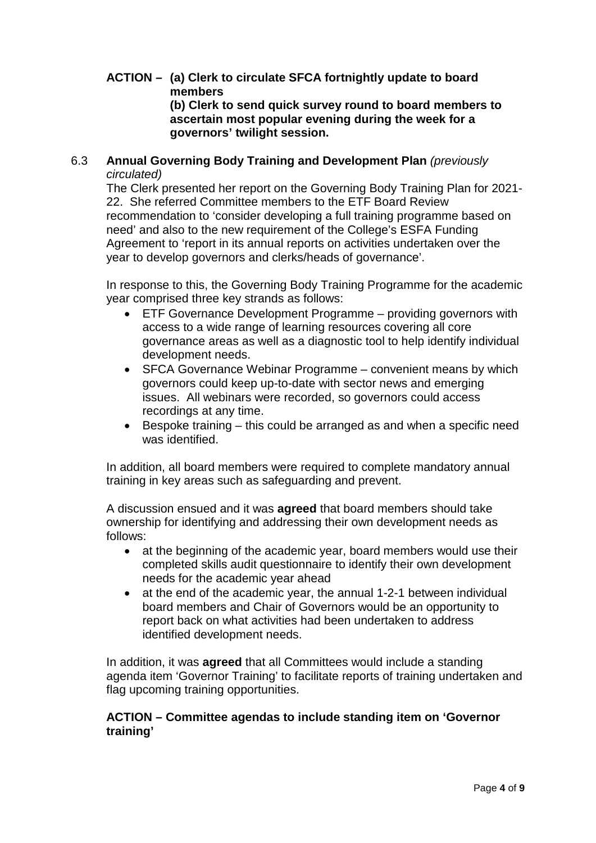#### **ACTION – (a) Clerk to circulate SFCA fortnightly update to board members (b) Clerk to send quick survey round to board members to ascertain most popular evening during the week for a**

**governors' twilight session.**

# 6.3 **Annual Governing Body Training and Development Plan** *(previously circulated)*

The Clerk presented her report on the Governing Body Training Plan for 2021- 22. She referred Committee members to the ETF Board Review recommendation to 'consider developing a full training programme based on need' and also to the new requirement of the College's ESFA Funding Agreement to 'report in its annual reports on activities undertaken over the year to develop governors and clerks/heads of governance'.

In response to this, the Governing Body Training Programme for the academic year comprised three key strands as follows:

- ETF Governance Development Programme providing governors with access to a wide range of learning resources covering all core governance areas as well as a diagnostic tool to help identify individual development needs.
- SFCA Governance Webinar Programme convenient means by which governors could keep up-to-date with sector news and emerging issues. All webinars were recorded, so governors could access recordings at any time.
- Bespoke training this could be arranged as and when a specific need was identified.

In addition, all board members were required to complete mandatory annual training in key areas such as safeguarding and prevent.

A discussion ensued and it was **agreed** that board members should take ownership for identifying and addressing their own development needs as follows:

- at the beginning of the academic year, board members would use their completed skills audit questionnaire to identify their own development needs for the academic year ahead
- at the end of the academic year, the annual 1-2-1 between individual board members and Chair of Governors would be an opportunity to report back on what activities had been undertaken to address identified development needs.

In addition, it was **agreed** that all Committees would include a standing agenda item 'Governor Training' to facilitate reports of training undertaken and flag upcoming training opportunities.

# **ACTION – Committee agendas to include standing item on 'Governor training'**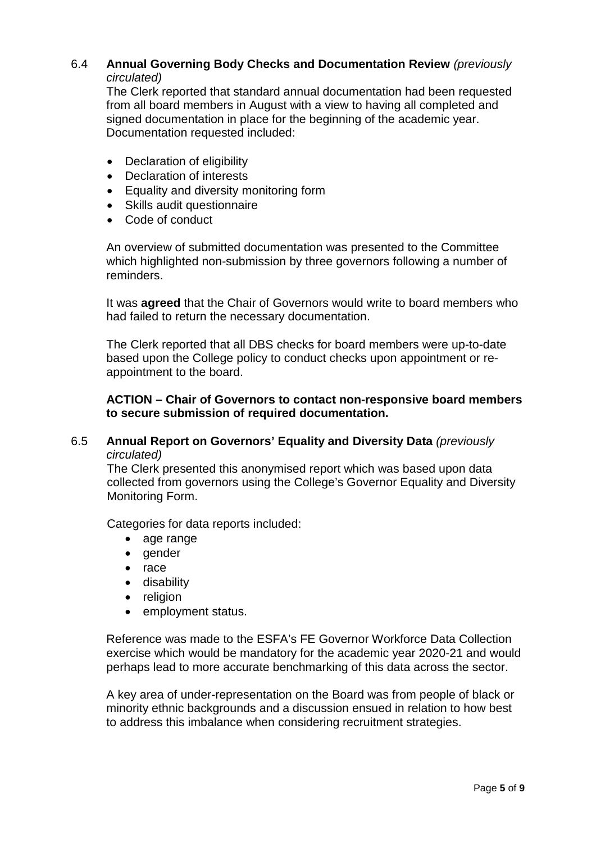# 6.4 **Annual Governing Body Checks and Documentation Review** *(previously circulated)*

The Clerk reported that standard annual documentation had been requested from all board members in August with a view to having all completed and signed documentation in place for the beginning of the academic year. Documentation requested included:

- Declaration of eligibility
- Declaration of interests
- Equality and diversity monitoring form
- Skills audit questionnaire
- Code of conduct

An overview of submitted documentation was presented to the Committee which highlighted non-submission by three governors following a number of reminders.

It was **agreed** that the Chair of Governors would write to board members who had failed to return the necessary documentation.

The Clerk reported that all DBS checks for board members were up-to-date based upon the College policy to conduct checks upon appointment or reappointment to the board.

**ACTION – Chair of Governors to contact non-responsive board members to secure submission of required documentation.**

# 6.5 **Annual Report on Governors' Equality and Diversity Data** *(previously circulated)*

The Clerk presented this anonymised report which was based upon data collected from governors using the College's Governor Equality and Diversity Monitoring Form.

Categories for data reports included:

- age range
- gender
- race
- disability
- religion
- employment status.

Reference was made to the ESFA's FE Governor Workforce Data Collection exercise which would be mandatory for the academic year 2020-21 and would perhaps lead to more accurate benchmarking of this data across the sector.

A key area of under-representation on the Board was from people of black or minority ethnic backgrounds and a discussion ensued in relation to how best to address this imbalance when considering recruitment strategies.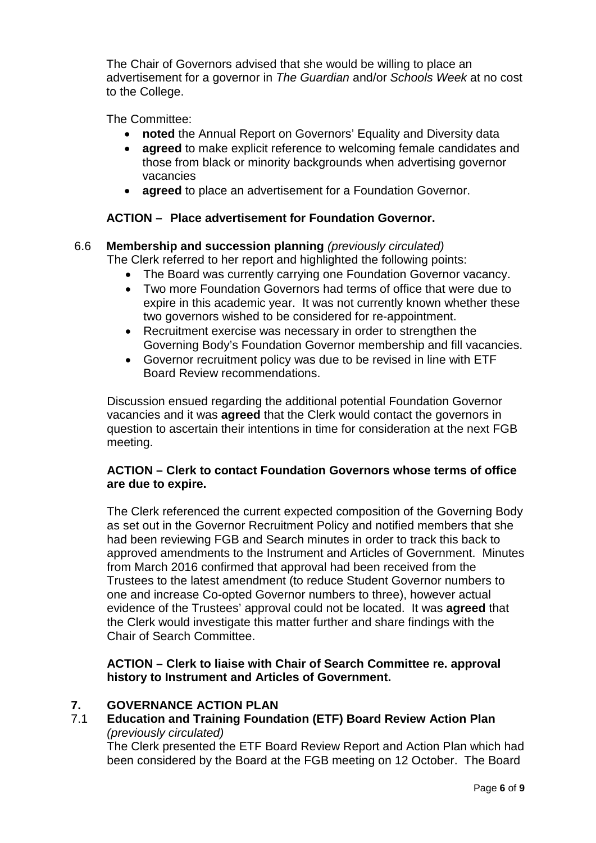The Chair of Governors advised that she would be willing to place an advertisement for a governor in *The Guardian* and/or *Schools Week* at no cost to the College.

The Committee:

- **noted** the Annual Report on Governors' Equality and Diversity data
- **agreed** to make explicit reference to welcoming female candidates and those from black or minority backgrounds when advertising governor vacancies
- **agreed** to place an advertisement for a Foundation Governor.

# **ACTION – Place advertisement for Foundation Governor.**

# 6.6 **Membership and succession planning** *(previously circulated)*

The Clerk referred to her report and highlighted the following points:

- The Board was currently carrying one Foundation Governor vacancy.
- Two more Foundation Governors had terms of office that were due to expire in this academic year. It was not currently known whether these two governors wished to be considered for re-appointment.
- Recruitment exercise was necessary in order to strengthen the Governing Body's Foundation Governor membership and fill vacancies.
- Governor recruitment policy was due to be revised in line with ETF Board Review recommendations.

Discussion ensued regarding the additional potential Foundation Governor vacancies and it was **agreed** that the Clerk would contact the governors in question to ascertain their intentions in time for consideration at the next FGB meeting.

# **ACTION – Clerk to contact Foundation Governors whose terms of office are due to expire.**

The Clerk referenced the current expected composition of the Governing Body as set out in the Governor Recruitment Policy and notified members that she had been reviewing FGB and Search minutes in order to track this back to approved amendments to the Instrument and Articles of Government. Minutes from March 2016 confirmed that approval had been received from the Trustees to the latest amendment (to reduce Student Governor numbers to one and increase Co-opted Governor numbers to three), however actual evidence of the Trustees' approval could not be located. It was **agreed** that the Clerk would investigate this matter further and share findings with the Chair of Search Committee.

# **ACTION – Clerk to liaise with Chair of Search Committee re. approval history to Instrument and Articles of Government.**

# **7. GOVERNANCE ACTION PLAN**

7.1 **Education and Training Foundation (ETF) Board Review Action Plan** *(previously circulated)*

The Clerk presented the ETF Board Review Report and Action Plan which had been considered by the Board at the FGB meeting on 12 October. The Board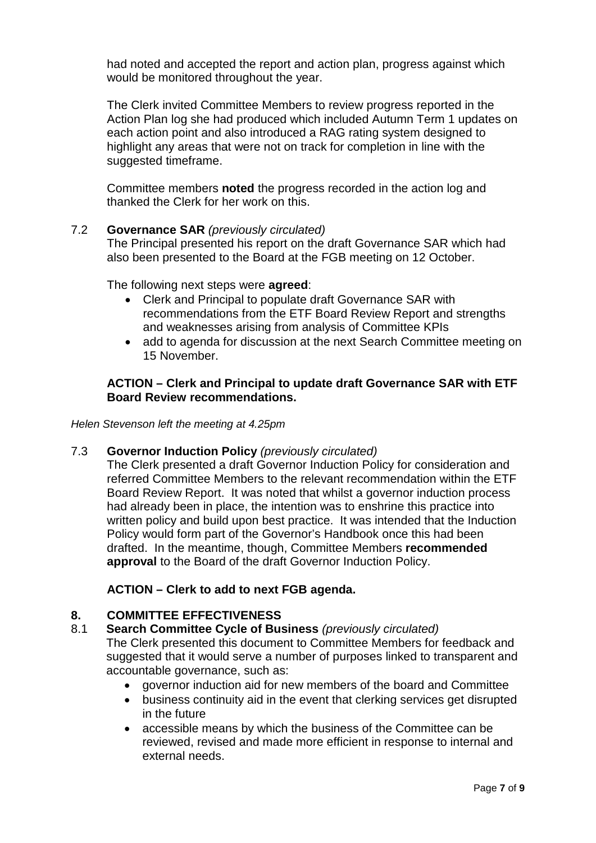had noted and accepted the report and action plan, progress against which would be monitored throughout the year.

The Clerk invited Committee Members to review progress reported in the Action Plan log she had produced which included Autumn Term 1 updates on each action point and also introduced a RAG rating system designed to highlight any areas that were not on track for completion in line with the suggested timeframe.

Committee members **noted** the progress recorded in the action log and thanked the Clerk for her work on this.

#### 7.2 **Governance SAR** *(previously circulated)*

The Principal presented his report on the draft Governance SAR which had also been presented to the Board at the FGB meeting on 12 October.

The following next steps were **agreed**:

- Clerk and Principal to populate draft Governance SAR with recommendations from the ETF Board Review Report and strengths and weaknesses arising from analysis of Committee KPIs
- add to agenda for discussion at the next Search Committee meeting on 15 November.

#### **ACTION – Clerk and Principal to update draft Governance SAR with ETF Board Review recommendations.**

*Helen Stevenson left the meeting at 4.25pm*

#### 7.3 **Governor Induction Policy** *(previously circulated)*

The Clerk presented a draft Governor Induction Policy for consideration and referred Committee Members to the relevant recommendation within the ETF Board Review Report. It was noted that whilst a governor induction process had already been in place, the intention was to enshrine this practice into written policy and build upon best practice. It was intended that the Induction Policy would form part of the Governor's Handbook once this had been drafted. In the meantime, though, Committee Members **recommended approval** to the Board of the draft Governor Induction Policy.

# **ACTION – Clerk to add to next FGB agenda.**

#### **8. COMMITTEE EFFECTIVENESS**

# 8.1 **Search Committee Cycle of Business** *(previously circulated)*

The Clerk presented this document to Committee Members for feedback and suggested that it would serve a number of purposes linked to transparent and accountable governance, such as:

- governor induction aid for new members of the board and Committee
- business continuity aid in the event that clerking services get disrupted in the future
- accessible means by which the business of the Committee can be reviewed, revised and made more efficient in response to internal and external needs.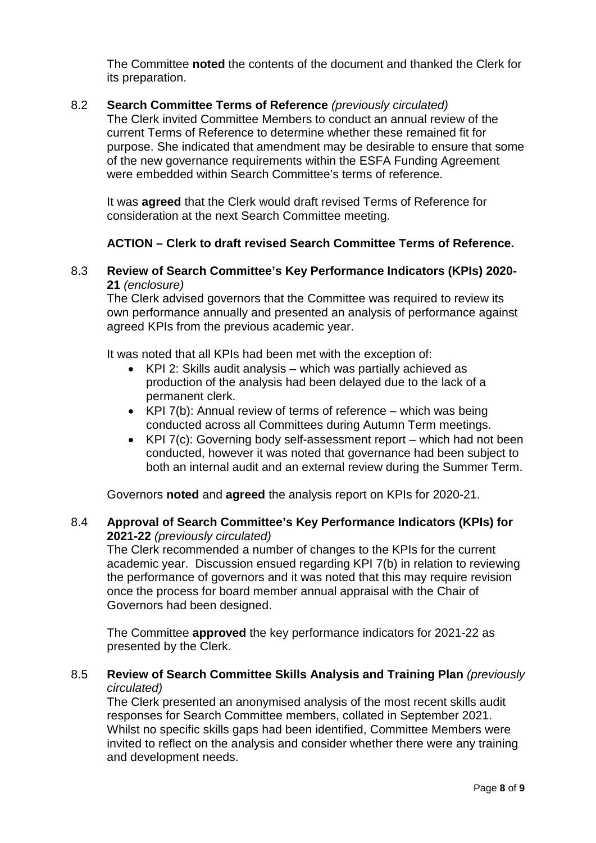The Committee **noted** the contents of the document and thanked the Clerk for its preparation.

# 8.2 **Search Committee Terms of Reference** *(previously circulated)*

The Clerk invited Committee Members to conduct an annual review of the current Terms of Reference to determine whether these remained fit for purpose. She indicated that amendment may be desirable to ensure that some of the new governance requirements within the ESFA Funding Agreement were embedded within Search Committee's terms of reference.

It was **agreed** that the Clerk would draft revised Terms of Reference for consideration at the next Search Committee meeting.

#### **ACTION – Clerk to draft revised Search Committee Terms of Reference.**

#### 8.3 **Review of Search Committee's Key Performance Indicators (KPIs) 2020- 21** *(enclosure)*

The Clerk advised governors that the Committee was required to review its own performance annually and presented an analysis of performance against agreed KPIs from the previous academic year.

It was noted that all KPIs had been met with the exception of:

- KPI 2: Skills audit analysis which was partially achieved as production of the analysis had been delayed due to the lack of a permanent clerk.
- KPI 7(b): Annual review of terms of reference which was being conducted across all Committees during Autumn Term meetings.
- KPI 7(c): Governing body self-assessment report which had not been conducted, however it was noted that governance had been subject to both an internal audit and an external review during the Summer Term.

Governors **noted** and **agreed** the analysis report on KPIs for 2020-21.

#### 8.4 **Approval of Search Committee's Key Performance Indicators (KPIs) for 2021-22** *(previously circulated)*

The Clerk recommended a number of changes to the KPIs for the current academic year. Discussion ensued regarding KPI 7(b) in relation to reviewing the performance of governors and it was noted that this may require revision once the process for board member annual appraisal with the Chair of Governors had been designed.

The Committee **approved** the key performance indicators for 2021-22 as presented by the Clerk.

#### 8.5 **Review of Search Committee Skills Analysis and Training Plan** *(previously circulated)*

The Clerk presented an anonymised analysis of the most recent skills audit responses for Search Committee members, collated in September 2021. Whilst no specific skills gaps had been identified, Committee Members were invited to reflect on the analysis and consider whether there were any training and development needs.